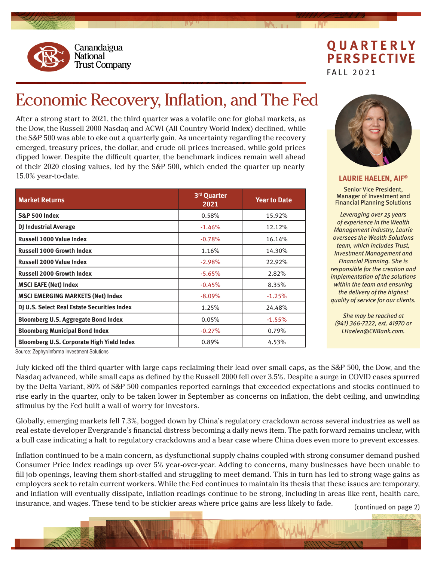

## **QUARTERLY PERSPECTIVE** FALL 2021

## Economic Recovery, Inflation, and The Fed

After a strong start to 2021, the third quarter was a volatile one for global markets, as the Dow, the Russell 2000 Nasdaq and ACWI (All Country World Index) declined, while the S&P 500 was able to eke out a quarterly gain. As uncertainty regarding the recovery emerged, treasury prices, the dollar, and crude oil prices increased, while gold prices dipped lower. Despite the difficult quarter, the benchmark indices remain well ahead of their 2020 closing values, led by the S&P 500, which ended the quarter up nearly 15.0% year-to-date.

| <b>Market Returns</b>                       | 3rd Quarter<br>2021 | <b>Year to Date</b> |
|---------------------------------------------|---------------------|---------------------|
| <b>S&amp;P 500 Index</b>                    | 0.58%               | 15.92%              |
| <b>DJ Industrial Average</b>                | $-1.46%$            | 12.12%              |
| Russell 1000 Value Index                    | $-0.78%$            | 16.14%              |
| <b>Russell 1000 Growth Index</b>            | 1.16%               | 14.30%              |
| <b>Russell 2000 Value Index</b>             | $-2.98%$            | 22.92%              |
| <b>Russell 2000 Growth Index</b>            | $-5.65%$            | 2.82%               |
| <b>MSCI EAFE (Net) Index</b>                | $-0.45%$            | 8.35%               |
| <b>MSCI EMERGING MARKETS (Net) Index</b>    | $-8.09\%$           | $-1.25%$            |
| DJ U.S. Select Real Estate Securities Index | 1.25%               | 24.48%              |
| <b>Bloomberg U.S. Aggregate Bond Index</b>  | 0.05%               | $-1.55%$            |
| <b>Bloomberg Municipal Bond Index</b>       | $-0.27%$            | 0.79%               |
| Bloomberg U.S. Corporate High Yield Index   | 0.89%               | 4.53%               |



**LAURIE HAELEN, AIF®**

Senior Vice President, Manager of Investment and Financial Planning Solutions

*Leveraging over 25 years of experience in the Wealth Management industry, Laurie oversees the Wealth Solutions team, which includes Trust, Investment Management and Financial Planning. She is responsible for the creation and implementation of the solutions within the team and ensuring the delivery of the highest quality of service for our clients.*

*She may be reached at (941) 366-7222, ext. 41970 or LHaelen@CNBank.com.*

Source: Zephyr/Informa Investment Solutions

July kicked off the third quarter with large caps reclaiming their lead over small caps, as the S&P 500, the Dow, and the Nasdaq advanced, while small caps as defined by the Russell 2000 fell over 3.5%. Despite a surge in COVID cases spurred by the Delta Variant, 80% of S&P 500 companies reported earnings that exceeded expectations and stocks continued to rise early in the quarter, only to be taken lower in September as concerns on inflation, the debt ceiling, and unwinding stimulus by the Fed built a wall of worry for investors.

Globally, emerging markets fell 7.3%, bogged down by China's regulatory crackdown across several industries as well as real estate developer Evergrande's financial distress becoming a daily news item. The path forward remains unclear, with a bull case indicating a halt to regulatory crackdowns and a bear case where China does even more to prevent excesses.

Inflation continued to be a main concern, as dysfunctional supply chains coupled with strong consumer demand pushed Consumer Price Index readings up over 5% year-over-year. Adding to concerns, many businesses have been unable to fill job openings, leaving them short-staffed and struggling to meet demand. This in turn has led to strong wage gains as employers seek to retain current workers. While the Fed continues to maintain its thesis that these issues are temporary, and inflation will eventually dissipate, inflation readings continue to be strong, including in areas like rent, health care, insurance, and wages. These tend to be stickier areas where price gains are less likely to fade.

(continued on page 2)